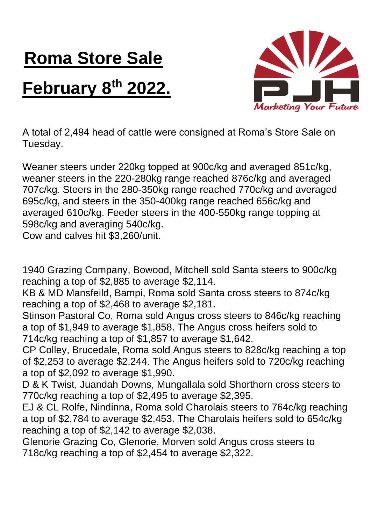## **Roma Store Sale February 8 th 2022.**



A total of 2,494 head of cattle were consigned at Roma's Store Sale on Tuesday.

Weaner steers under 220kg topped at 900c/kg and averaged 851c/kg, weaner steers in the 220-280kg range reached 876c/kg and averaged 707c/kg. Steers in the 280-350kg range reached 770c/kg and averaged 695c/kg, and steers in the 350-400kg range reached 656c/kg and averaged 610c/kg. Feeder steers in the 400-550kg range topping at 598c/kg and averaging 540c/kg.

Cow and calves hit \$3,260/unit.

1940 Grazing Company, Bowood, Mitchell sold Santa steers to 900c/kg reaching a top of \$2,885 to average \$2,114.

KB & MD Mansfeild, Bampi, Roma sold Santa cross steers to 874c/kg reaching a top of \$2,468 to average \$2,181.

Stinson Pastoral Co, Roma sold Angus cross steers to 846c/kg reaching a top of \$1,949 to average \$1,858. The Angus cross heifers sold to 714c/kg reaching a top of \$1,857 to average \$1,642.

CP Colley, Brucedale, Roma sold Angus steers to 828c/kg reaching a top of \$2,253 to average \$2,244. The Angus heifers sold to 720c/kg reaching a top of \$2,092 to average \$1,990.

D & K Twist, Juandah Downs, Mungallala sold Shorthorn cross steers to 770c/kg reaching a top of \$2,495 to average \$2,395.

EJ & CL Rolfe, Nindinna, Roma sold Charolais steers to 764c/kg reaching a top of \$2,784 to average \$2,453. The Charolais heifers sold to 654c/kg reaching a top of \$2,142 to average \$2,038.

Glenorie Grazing Co, Glenorie, Morven sold Angus cross steers to 718c/kg reaching a top of \$2,454 to average \$2,322.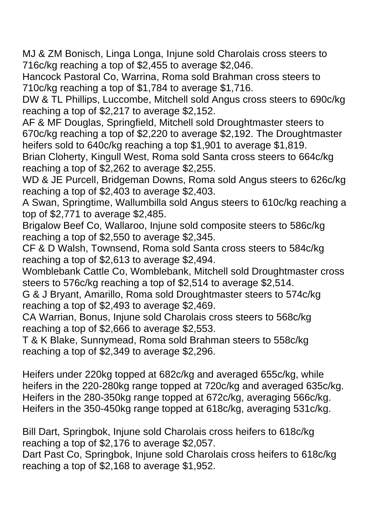MJ & ZM Bonisch, Linga Longa, Injune sold Charolais cross steers to 716c/kg reaching a top of \$2,455 to average \$2,046.

Hancock Pastoral Co, Warrina, Roma sold Brahman cross steers to 710c/kg reaching a top of \$1,784 to average \$1,716.

DW & TL Phillips, Luccombe, Mitchell sold Angus cross steers to 690c/kg reaching a top of \$2,217 to average \$2,152.

AF & MF Douglas, Springfield, Mitchell sold Droughtmaster steers to 670c/kg reaching a top of \$2,220 to average \$2,192. The Droughtmaster heifers sold to 640c/kg reaching a top \$1,901 to average \$1,819.

Brian Cloherty, Kingull West, Roma sold Santa cross steers to 664c/kg reaching a top of \$2,262 to average \$2,255.

WD & JE Purcell, Bridgeman Downs, Roma sold Angus steers to 626c/kg reaching a top of \$2,403 to average \$2,403.

A Swan, Springtime, Wallumbilla sold Angus steers to 610c/kg reaching a top of \$2,771 to average \$2,485.

Brigalow Beef Co, Wallaroo, Injune sold composite steers to 586c/kg reaching a top of \$2,550 to average \$2,345.

CF & D Walsh, Townsend, Roma sold Santa cross steers to 584c/kg reaching a top of \$2,613 to average \$2,494.

Womblebank Cattle Co, Womblebank, Mitchell sold Droughtmaster cross steers to 576c/kg reaching a top of \$2,514 to average \$2,514.

G & J Bryant, Amarillo, Roma sold Droughtmaster steers to 574c/kg reaching a top of \$2,493 to average \$2,469.

CA Warrian, Bonus, Injune sold Charolais cross steers to 568c/kg reaching a top of \$2,666 to average \$2,553.

T & K Blake, Sunnymead, Roma sold Brahman steers to 558c/kg reaching a top of \$2,349 to average \$2,296.

Heifers under 220kg topped at 682c/kg and averaged 655c/kg, while heifers in the 220-280kg range topped at 720c/kg and averaged 635c/kg. Heifers in the 280-350kg range topped at 672c/kg, averaging 566c/kg. Heifers in the 350-450kg range topped at 618c/kg, averaging 531c/kg.

Bill Dart, Springbok, Injune sold Charolais cross heifers to 618c/kg reaching a top of \$2,176 to average \$2,057.

Dart Past Co, Springbok, Injune sold Charolais cross heifers to 618c/kg reaching a top of \$2,168 to average \$1,952.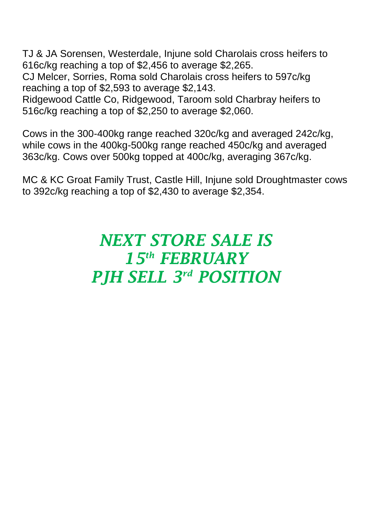TJ & JA Sorensen, Westerdale, Injune sold Charolais cross heifers to 616c/kg reaching a top of \$2,456 to average \$2,265.

CJ Melcer, Sorries, Roma sold Charolais cross heifers to 597c/kg reaching a top of \$2,593 to average \$2,143.

Ridgewood Cattle Co, Ridgewood, Taroom sold Charbray heifers to 516c/kg reaching a top of \$2,250 to average \$2,060.

Cows in the 300-400kg range reached 320c/kg and averaged 242c/kg, while cows in the 400kg-500kg range reached 450c/kg and averaged 363c/kg. Cows over 500kg topped at 400c/kg, averaging 367c/kg.

MC & KC Groat Family Trust, Castle Hill, Injune sold Droughtmaster cows to 392c/kg reaching a top of \$2,430 to average \$2,354.

## *NEXT STORE SALE IS 15th FEBRUARY PJH SELL 3 rd POSITION*